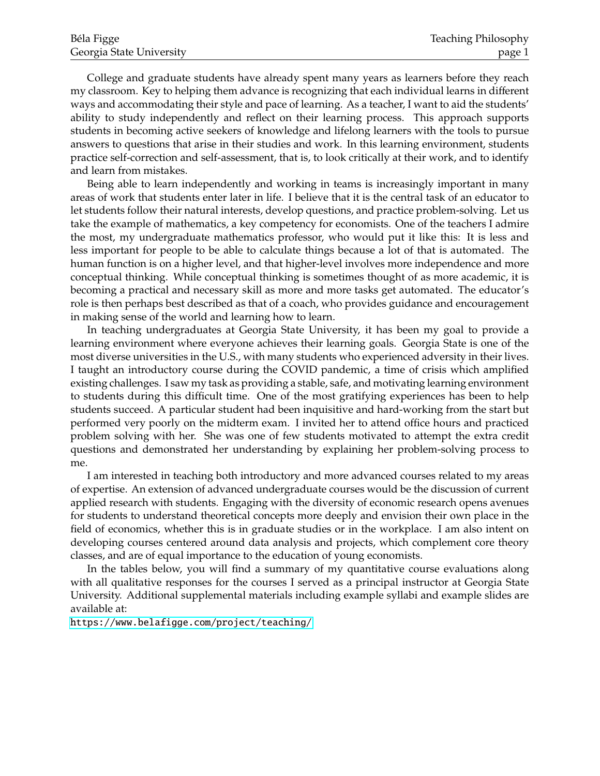College and graduate students have already spent many years as learners before they reach my classroom. Key to helping them advance is recognizing that each individual learns in different ways and accommodating their style and pace of learning. As a teacher, I want to aid the students' ability to study independently and reflect on their learning process. This approach supports students in becoming active seekers of knowledge and lifelong learners with the tools to pursue answers to questions that arise in their studies and work. In this learning environment, students practice self-correction and self-assessment, that is, to look critically at their work, and to identify and learn from mistakes.

Being able to learn independently and working in teams is increasingly important in many areas of work that students enter later in life. I believe that it is the central task of an educator to let students follow their natural interests, develop questions, and practice problem-solving. Let us take the example of mathematics, a key competency for economists. One of the teachers I admire the most, my undergraduate mathematics professor, who would put it like this: It is less and less important for people to be able to calculate things because a lot of that is automated. The human function is on a higher level, and that higher-level involves more independence and more conceptual thinking. While conceptual thinking is sometimes thought of as more academic, it is becoming a practical and necessary skill as more and more tasks get automated. The educator's role is then perhaps best described as that of a coach, who provides guidance and encouragement in making sense of the world and learning how to learn.

In teaching undergraduates at Georgia State University, it has been my goal to provide a learning environment where everyone achieves their learning goals. Georgia State is one of the most diverse universities in the U.S., with many students who experienced adversity in their lives. I taught an introductory course during the COVID pandemic, a time of crisis which amplified existing challenges. I saw my task as providing a stable, safe, and motivating learning environment to students during this difficult time. One of the most gratifying experiences has been to help students succeed. A particular student had been inquisitive and hard-working from the start but performed very poorly on the midterm exam. I invited her to attend office hours and practiced problem solving with her. She was one of few students motivated to attempt the extra credit questions and demonstrated her understanding by explaining her problem-solving process to me.

I am interested in teaching both introductory and more advanced courses related to my areas of expertise. An extension of advanced undergraduate courses would be the discussion of current applied research with students. Engaging with the diversity of economic research opens avenues for students to understand theoretical concepts more deeply and envision their own place in the field of economics, whether this is in graduate studies or in the workplace. I am also intent on developing courses centered around data analysis and projects, which complement core theory classes, and are of equal importance to the education of young economists.

In the tables below, you will find a summary of my quantitative course evaluations along with all qualitative responses for the courses I served as a principal instructor at Georgia State University. Additional supplemental materials including example syllabi and example slides are available at:

<https://www.belafigge.com/project/teaching/>